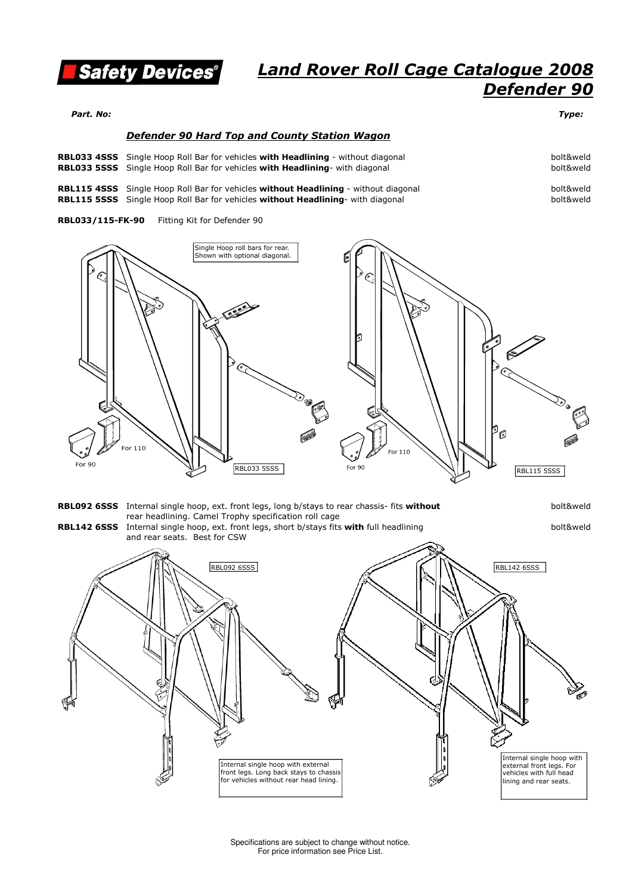

Part. No: Type:

#### Defender 90 Hard Top and County Station Wagon

**RBL033 4SSS** Single Hoop Roll Bar for vehicles with Headlining - without diagonal and the state of the bolt&weld **RBL033 5SSS** Single Hoop Roll Bar for vehicles with Headlining- with diagonal and the state of the state of bolt&weld

**RBL115 4SSS** Single Hoop Roll Bar for vehicles without Headlining - without diagonal and the state of the bolt&weld **RBL115 5SSS** Single Hoop Roll Bar for vehicles without Headlining- with diagonal and the same that the bolt&weld

RBL033/115-FK-90 Fitting Kit for Defender 90





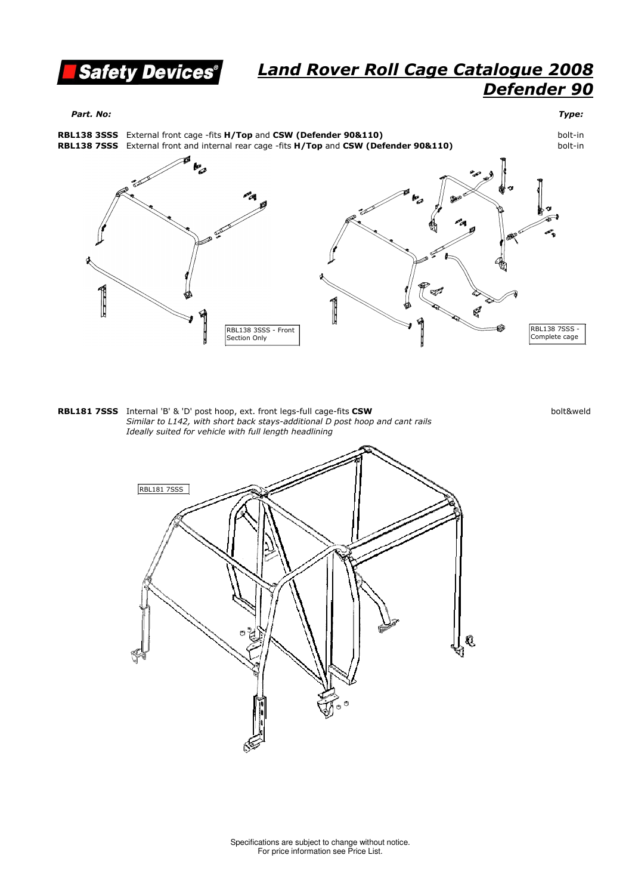

Part. No: Type:



**RBL181 7SSS** Internal 'B' & 'D' post hoop, ext. front legs-full cage-fits CSW and the state of the state of the bolt&weld Similar to L142, with short back stays-additional D post hoop and cant rails Ideally suited for vehicle with full length headlining Internal 'B' & 'D' post hoop, ext. front legs-full cage-fits **CSW** 

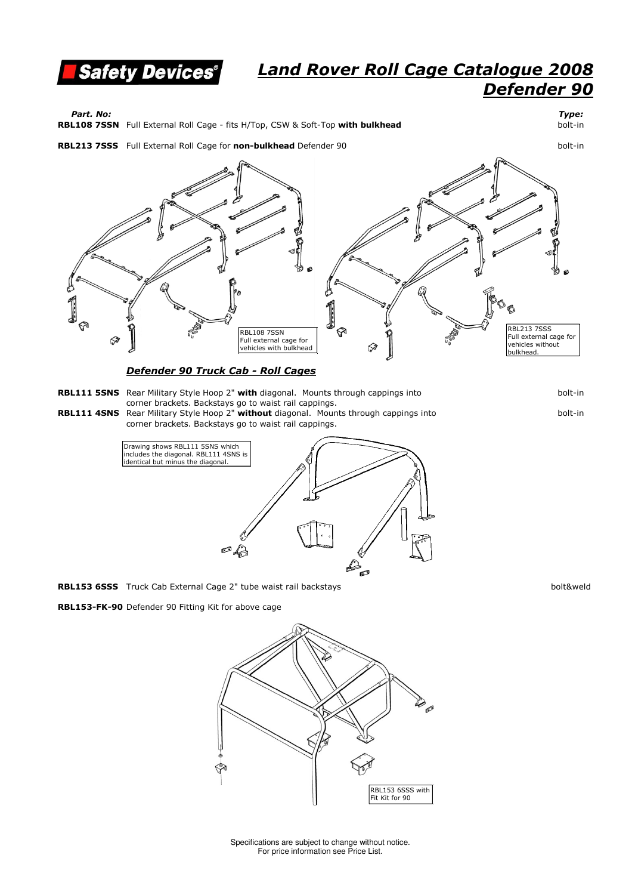

Part. No: Type:

**RBL108 7SSN** Full External Roll Cage - fits H/Top, CSW & Soft-Top with bulkhead b and the solt-in

**RBL213 7SSS** Full External Roll Cage for **non-bulkhead** Defender 90 **Case 10 August 2018** 60th-in



Defender 90 Truck Cab - Roll Cages

- **RBL111 5SNS** Rear Military Style Hoop 2" with diagonal. Mounts through cappings into example of the state of bolt-in corner brackets. Backstays go to waist rail cappings.
- **RBL111 4SNS** Rear Military Style Hoop 2" without diagonal. Mounts through cappings into which the solt-in corner brackets. Backstays go to waist rail cappings.



RBL153 6SSS Truck Cab External Cage 2" tube waist rail backstays bolt&weld

RBL153-FK-90 Defender 90 Fitting Kit for above cage



Specifications are subject to change without notice. For price information see Price List.